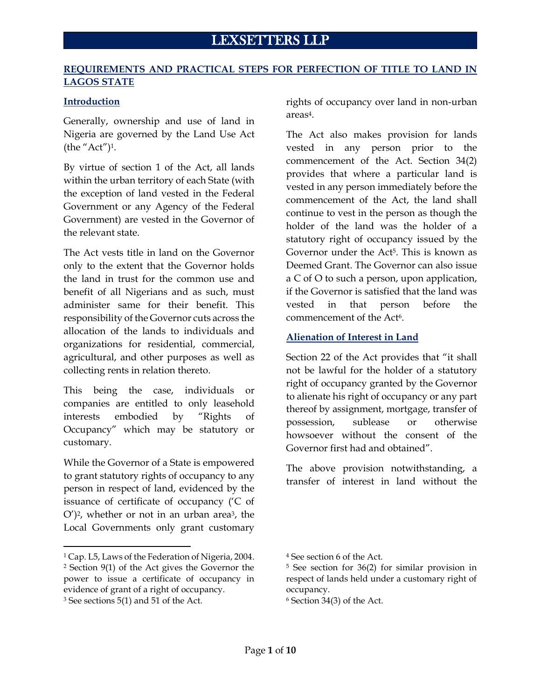## **REQUIREMENTS AND PRACTICAL STEPS FOR PERFECTION OF TITLE TO LAND IN LAGOS STATE**

## **Introduction**

Generally, ownership and use of land in Nigeria are governed by the Land Use Act (the "Act")1.

By virtue of section 1 of the Act, all lands within the urban territory of each State (with the exception of land vested in the Federal Government or any Agency of the Federal Government) are vested in the Governor of the relevant state.

The Act vests title in land on the Governor only to the extent that the Governor holds the land in trust for the common use and benefit of all Nigerians and as such, must administer same for their benefit. This responsibility of the Governor cuts across the allocation of the lands to individuals and organizations for residential, commercial, agricultural, and other purposes as well as collecting rents in relation thereto.

This being the case, individuals or companies are entitled to only leasehold interests embodied by "Rights of Occupancy" which may be statutory or customary.

While the Governor of a State is empowered to grant statutory rights of occupancy to any person in respect of land, evidenced by the issuance of certificate of occupancy ('C of  $O'$ <sup>2</sup>, whether or not in an urban area<sup>3</sup>, the Local Governments only grant customary

rights of occupancy over land in non-urban areas4.

The Act also makes provision for lands vested in any person prior to the commencement of the Act. Section 34(2) provides that where a particular land is vested in any person immediately before the commencement of the Act, the land shall continue to vest in the person as though the holder of the land was the holder of a statutory right of occupancy issued by the Governor under the Act<sup>5</sup>. This is known as Deemed Grant. The Governor can also issue a C of O to such a person, upon application, if the Governor is satisfied that the land was vested in that person before the commencement of the Act<sup>6</sup>.

# **Alienation of Interest in Land**

Section 22 of the Act provides that "it shall not be lawful for the holder of a statutory right of occupancy granted by the Governor to alienate his right of occupancy or any part thereof by assignment, mortgage, transfer of possession, sublease or otherwise howsoever without the consent of the Governor first had and obtained".

The above provision notwithstanding, a transfer of interest in land without the

<sup>1</sup> Cap. L5, Laws of the Federation of Nigeria, 2004. <sup>2</sup> Section 9(1) of the Act gives the Governor the power to issue a certificate of occupancy in evidence of grant of a right of occupancy.

<sup>3</sup> See sections 5(1) and 51 of the Act.

<sup>4</sup> See section 6 of the Act.

<sup>5</sup> See section for 36(2) for similar provision in respect of lands held under a customary right of occupancy.

<sup>6</sup> Section 34(3) of the Act.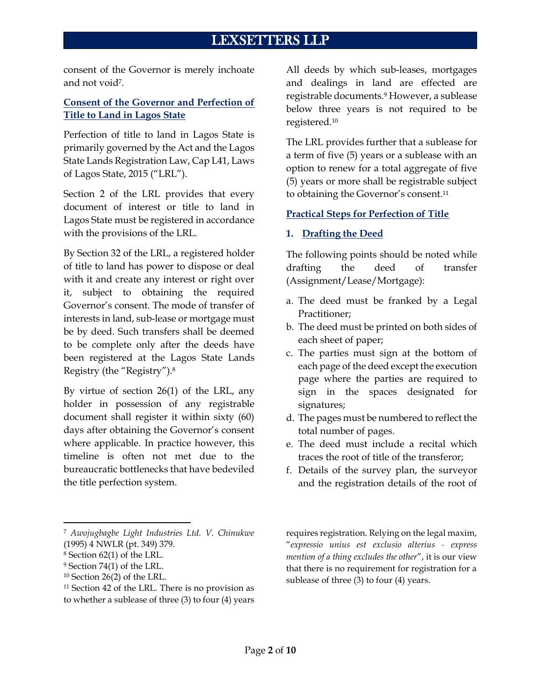consent of the Governor is merely inchoate and not void7.

# **Consent of the Governor and Perfection of Title to Land in Lagos State**

Perfection of title to land in Lagos State is primarily governed by the Act and the Lagos State Lands Registration Law, Cap L41, Laws of Lagos State, 2015 ("LRL").

Section 2 of the LRL provides that every document of interest or title to land in Lagos State must be registered in accordance with the provisions of the LRL.

By Section 32 of the LRL, a registered holder of title to land has power to dispose or deal with it and create any interest or right over it, subject to obtaining the required Governor's consent. The mode of transfer of interests in land, sub-lease or mortgage must be by deed. Such transfers shall be deemed to be complete only after the deeds have been registered at the Lagos State Lands Registry (the "Registry"). 8

By virtue of section 26(1) of the LRL, any holder in possession of any registrable document shall register it within sixty (60) days after obtaining the Governor's consent where applicable. In practice however, this timeline is often not met due to the bureaucratic bottlenecks that have bedeviled the title perfection system.

<sup>7</sup> *Awojugbagbe Light Industries Ltd. V. Chinukwe* (1995) 4 NWLR (pt. 349) 379.

All deeds by which sub-leases, mortgages and dealings in land are effected are registrable documents.<sup>9</sup> However, a sublease below three years is not required to be registered.<sup>10</sup>

The LRL provides further that a sublease for a term of five (5) years or a sublease with an option to renew for a total aggregate of five (5) years or more shall be registrable subject to obtaining the Governor's consent.<sup>11</sup>

# **Practical Steps for Perfection of Title**

# **1. Drafting the Deed**

The following points should be noted while drafting the deed of transfer (Assignment/Lease/Mortgage):

- a. The deed must be franked by a Legal Practitioner;
- b. The deed must be printed on both sides of each sheet of paper;
- c. The parties must sign at the bottom of each page of the deed except the execution page where the parties are required to sign in the spaces designated for signatures;
- d. The pages must be numbered to reflect the total number of pages.
- e. The deed must include a recital which traces the root of title of the transferor;
- f. Details of the survey plan, the surveyor and the registration details of the root of

requires registration. Relying on the legal maxim, "*expressio unius est exclusio alterius - express mention of a thing excludes the other*", it is our view that there is no requirement for registration for a sublease of three (3) to four (4) years.

<sup>8</sup> Section 62(1) of the LRL.

<sup>9</sup> Section 74(1) of the LRL.

<sup>10</sup> Section 26(2) of the LRL.

<sup>&</sup>lt;sup>11</sup> Section 42 of the LRL. There is no provision as to whether a sublease of three (3) to four (4) years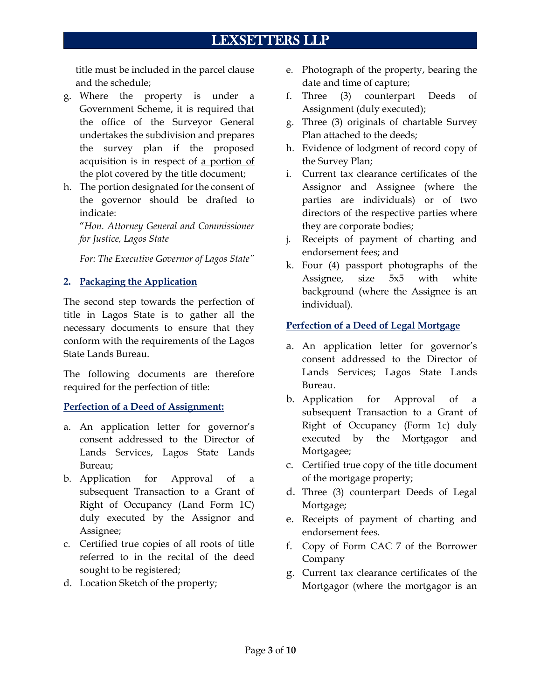title must be included in the parcel clause and the schedule;

- g. Where the property is under a Government Scheme, it is required that the office of the Surveyor General undertakes the subdivision and prepares the survey plan if the proposed acquisition is in respect of a portion of the plot covered by the title document;
- h. The portion designated for the consent of the governor should be drafted to indicate:

"*Hon. Attorney General and Commissioner for Justice, Lagos State*

*For: The Executive Governor of Lagos State"*

# **2. Packaging the Application**

The second step towards the perfection of title in Lagos State is to gather all the necessary documents to ensure that they conform with the requirements of the Lagos State Lands Bureau.

The following documents are therefore required for the perfection of title:

## **Perfection of a Deed of Assignment:**

- a. An application letter for governor's consent addressed to the Director of Lands Services, Lagos State Lands Bureau;
- b. Application for Approval of a subsequent Transaction to a Grant of Right of Occupancy (Land Form 1C) duly executed by the Assignor and Assignee;
- c. Certified true copies of all roots of title referred to in the recital of the deed sought to be registered;
- d. Location Sketch of the property;
- e. Photograph of the property, bearing the date and time of capture;
- f. Three (3) counterpart Deeds of Assignment (duly executed);
- g. Three (3) originals of chartable Survey Plan attached to the deeds;
- h. Evidence of lodgment of record copy of the Survey Plan;
- i. Current tax clearance certificates of the Assignor and Assignee (where the parties are individuals) or of two directors of the respective parties where they are corporate bodies;
- j. Receipts of payment of charting and endorsement fees; and
- k. Four (4) passport photographs of the Assignee, size 5x5 with white background (where the Assignee is an individual).

# **Perfection of a Deed of Legal Mortgage**

- a. An application letter for governor's consent addressed to the Director of Lands Services; Lagos State Lands Bureau.
- b. Application for Approval of a subsequent Transaction to a Grant of Right of Occupancy (Form 1c) duly executed by the Mortgagor and Mortgagee;
- c. Certified true copy of the title document of the mortgage property;
- d. Three (3) counterpart Deeds of Legal Mortgage;
- e. Receipts of payment of charting and endorsement fees.
- f. Copy of Form CAC 7 of the Borrower Company
- g. Current tax clearance certificates of the Mortgagor (where the mortgagor is an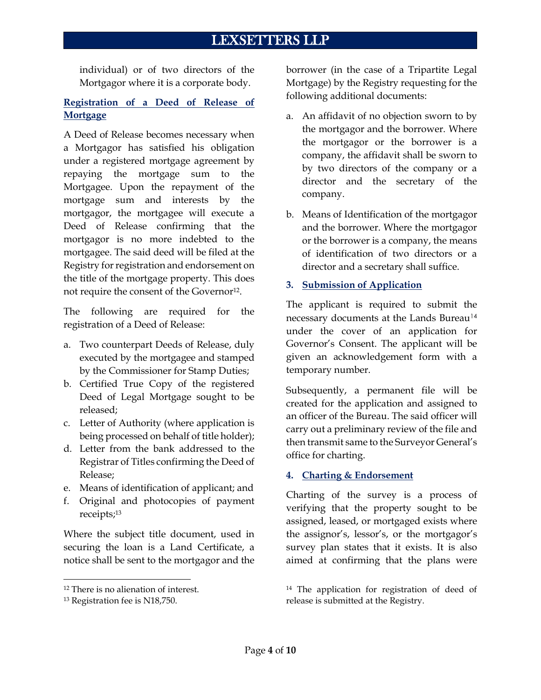individual) or of two directors of the Mortgagor where it is a corporate body.

# **Registration of a Deed of Release of Mortgage**

A Deed of Release becomes necessary when a Mortgagor has satisfied his obligation under a registered mortgage agreement by repaying the mortgage sum to the Mortgagee. Upon the repayment of the mortgage sum and interests by the mortgagor, the mortgagee will execute a Deed of Release confirming that the mortgagor is no more indebted to the mortgagee. The said deed will be filed at the Registry for registration and endorsement on the title of the mortgage property. This does not require the consent of the Governor<sup>12</sup>.

The following are required for the registration of a Deed of Release:

- a. Two counterpart Deeds of Release, duly executed by the mortgagee and stamped by the Commissioner for Stamp Duties;
- b. Certified True Copy of the registered Deed of Legal Mortgage sought to be released;
- c. Letter of Authority (where application is being processed on behalf of title holder);
- d. Letter from the bank addressed to the Registrar of Titles confirming the Deed of Release;
- e. Means of identification of applicant; and
- f. Original and photocopies of payment receipts;<sup>13</sup>

Where the subject title document, used in securing the loan is a Land Certificate, a notice shall be sent to the mortgagor and the borrower (in the case of a Tripartite Legal Mortgage) by the Registry requesting for the following additional documents:

- a. An affidavit of no objection sworn to by the mortgagor and the borrower. Where the mortgagor or the borrower is a company, the affidavit shall be sworn to by two directors of the company or a director and the secretary of the company.
- b. Means of Identification of the mortgagor and the borrower. Where the mortgagor or the borrower is a company, the means of identification of two directors or a director and a secretary shall suffice.

# **3. Submission of Application**

The applicant is required to submit the necessary documents at the Lands Bureau<sup>14</sup> under the cover of an application for Governor's Consent. The applicant will be given an acknowledgement form with a temporary number.

Subsequently, a permanent file will be created for the application and assigned to an officer of the Bureau. The said officer will carry out a preliminary review of the file and then transmit same to the Surveyor General's office for charting.

## **4. Charting & Endorsement**

Charting of the survey is a process of verifying that the property sought to be assigned, leased, or mortgaged exists where the assignor's, lessor's, or the mortgagor's survey plan states that it exists. It is also aimed at confirming that the plans were

<sup>12</sup> There is no alienation of interest.

<sup>13</sup> Registration fee is N18,750.

<sup>14</sup> The application for registration of deed of release is submitted at the Registry.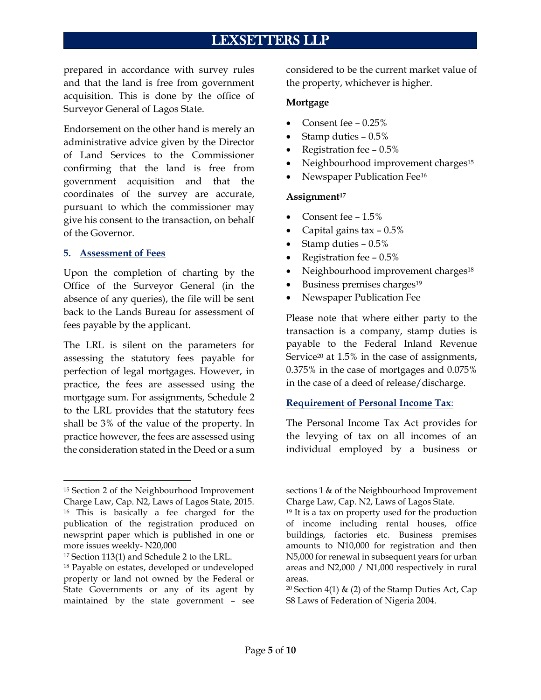prepared in accordance with survey rules and that the land is free from government acquisition. This is done by the office of Surveyor General of Lagos State.

Endorsement on the other hand is merely an administrative advice given by the Director of Land Services to the Commissioner confirming that the land is free from government acquisition and that the coordinates of the survey are accurate, pursuant to which the commissioner may give his consent to the transaction, on behalf of the Governor.

#### **5. Assessment of Fees**

Upon the completion of charting by the Office of the Surveyor General (in the absence of any queries), the file will be sent back to the Lands Bureau for assessment of fees payable by the applicant.

The LRL is silent on the parameters for assessing the statutory fees payable for perfection of legal mortgages. However, in practice, the fees are assessed using the mortgage sum. For assignments, Schedule 2 to the LRL provides that the statutory fees shall be 3% of the value of the property. In practice however, the fees are assessed using the consideration stated in the Deed or a sum

considered to be the current market value of the property, whichever is higher.

#### **Mortgage**

- Consent fee 0.25%
- Stamp duties 0.5%
- Registration fee 0.5%
- Neighbourhood improvement charges<sup>15</sup>
- Newspaper Publication Fee<sup>16</sup>

#### **Assignment<sup>17</sup>**

- Consent fee 1.5%
- Capital gains tax  $-0.5\%$
- Stamp duties 0.5%
- Registration fee 0.5%
- Neighbourhood improvement charges<sup>18</sup>
- Business premises charges<sup>19</sup>
- Newspaper Publication Fee

Please note that where either party to the transaction is a company, stamp duties is payable to the Federal Inland Revenue Service<sup>20</sup> at 1.5% in the case of assignments, 0.375% in the case of mortgages and 0.075% in the case of a deed of release/discharge.

#### **Requirement of Personal Income Tax**:

The Personal Income Tax Act provides for the levying of tax on all incomes of an individual employed by a business or

<sup>15</sup> Section 2 of the Neighbourhood Improvement Charge Law, Cap. N2, Laws of Lagos State, 2015. <sup>16</sup> This is basically a fee charged for the publication of the registration produced on newsprint paper which is published in one or more issues weekly- N20,000

<sup>17</sup> Section 113(1) and Schedule 2 to the LRL.

<sup>18</sup> Payable on estates, developed or undeveloped property or land not owned by the Federal or State Governments or any of its agent by maintained by the state government – see

sections 1 & of the Neighbourhood Improvement Charge Law, Cap. N2, Laws of Lagos State.

<sup>19</sup> It is a tax on property used for the production of income including rental houses, office buildings, factories etc. Business premises amounts to N10,000 for registration and then N5,000 for renewal in subsequent years for urban areas and N2,000 / N1,000 respectively in rural areas.

<sup>&</sup>lt;sup>20</sup> Section 4(1) & (2) of the Stamp Duties Act, Cap S8 Laws of Federation of Nigeria 2004.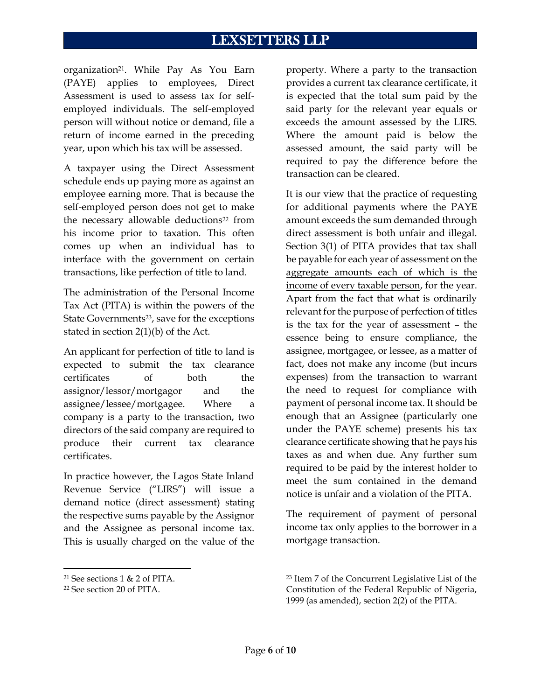organization<sup>21</sup>. While Pay As You Earn (PAYE) applies to employees, Direct Assessment is used to assess tax for selfemployed individuals. The self-employed person will without notice or demand, file a return of income earned in the preceding year, upon which his tax will be assessed.

A taxpayer using the Direct Assessment schedule ends up paying more as against an employee earning more. That is because the self-employed person does not get to make the necessary allowable deductions<sup>22</sup> from his income prior to taxation. This often comes up when an individual has to interface with the government on certain transactions, like perfection of title to land.

The administration of the Personal Income Tax Act (PITA) is within the powers of the State Governments<sup>23</sup>, save for the exceptions stated in section 2(1)(b) of the Act.

An applicant for perfection of title to land is expected to submit the tax clearance certificates of both the assignor/lessor/mortgagor and the assignee/lessee/mortgagee. Where a company is a party to the transaction, two directors of the said company are required to produce their current tax clearance certificates.

In practice however, the Lagos State Inland Revenue Service ("LIRS") will issue a demand notice (direct assessment) stating the respective sums payable by the Assignor and the Assignee as personal income tax. This is usually charged on the value of the

property. Where a party to the transaction provides a current tax clearance certificate, it is expected that the total sum paid by the said party for the relevant year equals or exceeds the amount assessed by the LIRS. Where the amount paid is below the assessed amount, the said party will be required to pay the difference before the transaction can be cleared.

It is our view that the practice of requesting for additional payments where the PAYE amount exceeds the sum demanded through direct assessment is both unfair and illegal. Section 3(1) of PITA provides that tax shall be payable for each year of assessment on the aggregate amounts each of which is the income of every taxable person, for the year. Apart from the fact that what is ordinarily relevant for the purpose of perfection of titles is the tax for the year of assessment – the essence being to ensure compliance, the assignee, mortgagee, or lessee, as a matter of fact, does not make any income (but incurs expenses) from the transaction to warrant the need to request for compliance with payment of personal income tax. It should be enough that an Assignee (particularly one under the PAYE scheme) presents his tax clearance certificate showing that he pays his taxes as and when due. Any further sum required to be paid by the interest holder to meet the sum contained in the demand notice is unfair and a violation of the PITA.

The requirement of payment of personal income tax only applies to the borrower in a mortgage transaction.

<sup>21</sup> See sections 1 & 2 of PITA.

<sup>22</sup> See section 20 of PITA.

<sup>23</sup> Item 7 of the Concurrent Legislative List of the Constitution of the Federal Republic of Nigeria, 1999 (as amended), section 2(2) of the PITA.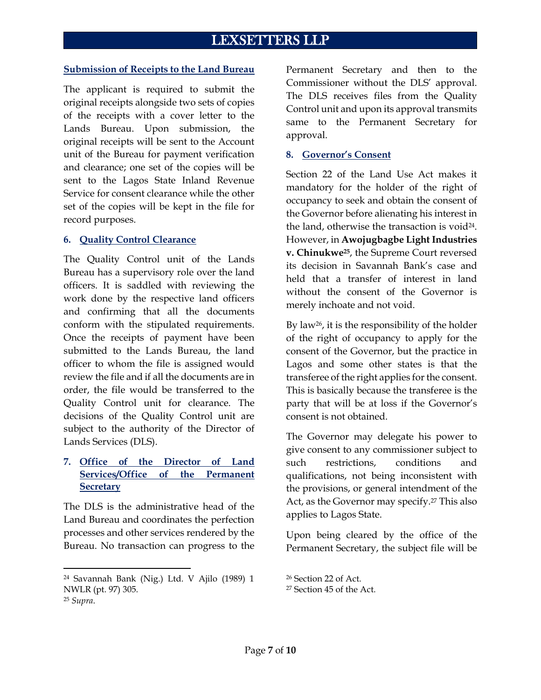#### **Submission of Receipts to the Land Bureau**

The applicant is required to submit the original receipts alongside two sets of copies of the receipts with a cover letter to the Lands Bureau. Upon submission, the original receipts will be sent to the Account unit of the Bureau for payment verification and clearance; one set of the copies will be sent to the Lagos State Inland Revenue Service for consent clearance while the other set of the copies will be kept in the file for record purposes.

### **6. Quality Control Clearance**

The Quality Control unit of the Lands Bureau has a supervisory role over the land officers. It is saddled with reviewing the work done by the respective land officers and confirming that all the documents conform with the stipulated requirements. Once the receipts of payment have been submitted to the Lands Bureau, the land officer to whom the file is assigned would review the file and if all the documents are in order, the file would be transferred to the Quality Control unit for clearance. The decisions of the Quality Control unit are subject to the authority of the Director of Lands Services (DLS).

# **7. Office of the Director of Land Services/Office of the Permanent Secretary**

The DLS is the administrative head of the Land Bureau and coordinates the perfection processes and other services rendered by the Bureau. No transaction can progress to the Permanent Secretary and then to the Commissioner without the DLS' approval. The DLS receives files from the Quality Control unit and upon its approval transmits same to the Permanent Secretary for approval.

### **8. Governor's Consent**

Section 22 of the Land Use Act makes it mandatory for the holder of the right of occupancy to seek and obtain the consent of the Governor before alienating his interest in the land, otherwise the transaction is void $24$ . However, in **Awojugbagbe Light Industries v. Chinukwe25**, the Supreme Court reversed its decision in Savannah Bank's case and held that a transfer of interest in land without the consent of the Governor is merely inchoate and not void.

By law<sup>26</sup>, it is the responsibility of the holder of the right of occupancy to apply for the consent of the Governor, but the practice in Lagos and some other states is that the transferee of the right applies for the consent. This is basically because the transferee is the party that will be at loss if the Governor's consent is not obtained.

The Governor may delegate his power to give consent to any commissioner subject to such restrictions, conditions and qualifications, not being inconsistent with the provisions, or general intendment of the Act, as the Governor may specify.<sup>27</sup> This also applies to Lagos State.

Upon being cleared by the office of the Permanent Secretary, the subject file will be

<sup>24</sup> Savannah Bank (Nig.) Ltd. V Ajilo (1989) 1 NWLR (pt. 97) 305. <sup>25</sup> *Supra*.

<sup>26</sup> Section 22 of Act. <sup>27</sup> Section 45 of the Act.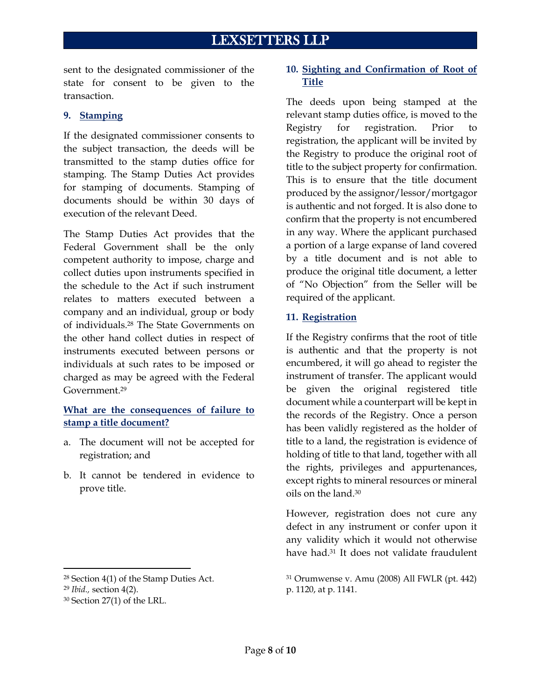sent to the designated commissioner of the state for consent to be given to the transaction.

# **9. Stamping**

If the designated commissioner consents to the subject transaction, the deeds will be transmitted to the stamp duties office for stamping. The Stamp Duties Act provides for stamping of documents. Stamping of documents should be within 30 days of execution of the relevant Deed.

The Stamp Duties Act provides that the Federal Government shall be the only competent authority to impose, charge and collect duties upon instruments specified in the schedule to the Act if such instrument relates to matters executed between a company and an individual, group or body of individuals.<sup>28</sup> The State Governments on the other hand collect duties in respect of instruments executed between persons or individuals at such rates to be imposed or charged as may be agreed with the Federal Government.<sup>29</sup>

# **What are the consequences of failure to stamp a title document?**

- a. The document will not be accepted for registration; and
- b. It cannot be tendered in evidence to prove title.

# **10. Sighting and Confirmation of Root of Title**

The deeds upon being stamped at the relevant stamp duties office, is moved to the Registry for registration. Prior to registration, the applicant will be invited by the Registry to produce the original root of title to the subject property for confirmation. This is to ensure that the title document produced by the assignor/lessor/mortgagor is authentic and not forged. It is also done to confirm that the property is not encumbered in any way. Where the applicant purchased a portion of a large expanse of land covered by a title document and is not able to produce the original title document, a letter of "No Objection" from the Seller will be required of the applicant.

# **11. Registration**

If the Registry confirms that the root of title is authentic and that the property is not encumbered, it will go ahead to register the instrument of transfer. The applicant would be given the original registered title document while a counterpart will be kept in the records of the Registry. Once a person has been validly registered as the holder of title to a land, the registration is evidence of holding of title to that land, together with all the rights, privileges and appurtenances, except rights to mineral resources or mineral oils on the land.<sup>30</sup>

However, registration does not cure any defect in any instrument or confer upon it any validity which it would not otherwise have had.<sup>31</sup> It does not validate fraudulent

<sup>28</sup> Section 4(1) of the Stamp Duties Act.

<sup>29</sup> *Ibid.,* section 4(2).

<sup>30</sup> Section 27(1) of the LRL.

<sup>31</sup> Orumwense v. Amu (2008) All FWLR (pt. 442) p. 1120, at p. 1141.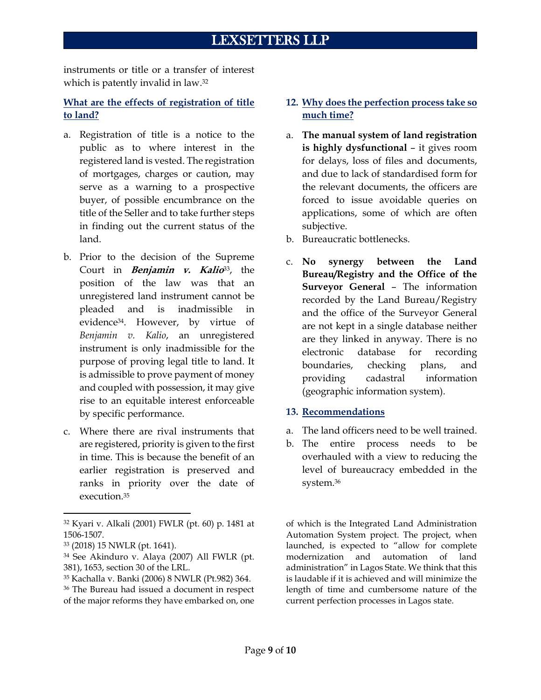instruments or title or a transfer of interest which is patently invalid in law.<sup>32</sup>

# **What are the effects of registration of title to land?**

- a. Registration of title is a notice to the public as to where interest in the registered land is vested. The registration of mortgages, charges or caution, may serve as a warning to a prospective buyer, of possible encumbrance on the title of the Seller and to take further steps in finding out the current status of the land.
- b. Prior to the decision of the Supreme Court in **Benjamin v. Kalio**33, the position of the law was that an unregistered land instrument cannot be pleaded and is inadmissible in evidence34. However, by virtue of *Benjamin v. Kalio*, an unregistered instrument is only inadmissible for the purpose of proving legal title to land. It is admissible to prove payment of money and coupled with possession, it may give rise to an equitable interest enforceable by specific performance.
- c. Where there are rival instruments that are registered, priority is given to the first in time. This is because the benefit of an earlier registration is preserved and ranks in priority over the date of execution.<sup>35</sup>

- <sup>33</sup> (2018) 15 NWLR (pt. 1641).
- <sup>34</sup> See Akinduro v. Alaya (2007) All FWLR (pt. 381), 1653, section 30 of the LRL.

<sup>35</sup> Kachalla v. Banki (2006) 8 NWLR (Pt.982) 364.

# **12. Why does the perfection process take so much time?**

- a. **The manual system of land registration is highly dysfunctional** – it gives room for delays, loss of files and documents, and due to lack of standardised form for the relevant documents, the officers are forced to issue avoidable queries on applications, some of which are often subjective.
- b. Bureaucratic bottlenecks.
- c. **No synergy between the Land Bureau/Registry and the Office of the Surveyor General** – The information recorded by the Land Bureau/Registry and the office of the Surveyor General are not kept in a single database neither are they linked in anyway. There is no electronic database for recording boundaries, checking plans, and providing cadastral information (geographic information system).

#### **13. Recommendations**

- a. The land officers need to be well trained.
- b. The entire process needs to be overhauled with a view to reducing the level of bureaucracy embedded in the system.<sup>36</sup>

of which is the Integrated Land Administration Automation System project. The project, when launched, is expected to "allow for complete modernization and automation of land administration" in Lagos State. We think that this is laudable if it is achieved and will minimize the length of time and cumbersome nature of the current perfection processes in Lagos state.

<sup>32</sup> Kyari v. Alkali (2001) FWLR (pt. 60) p. 1481 at 1506-1507.

<sup>36</sup> The Bureau had issued a document in respect of the major reforms they have embarked on, one